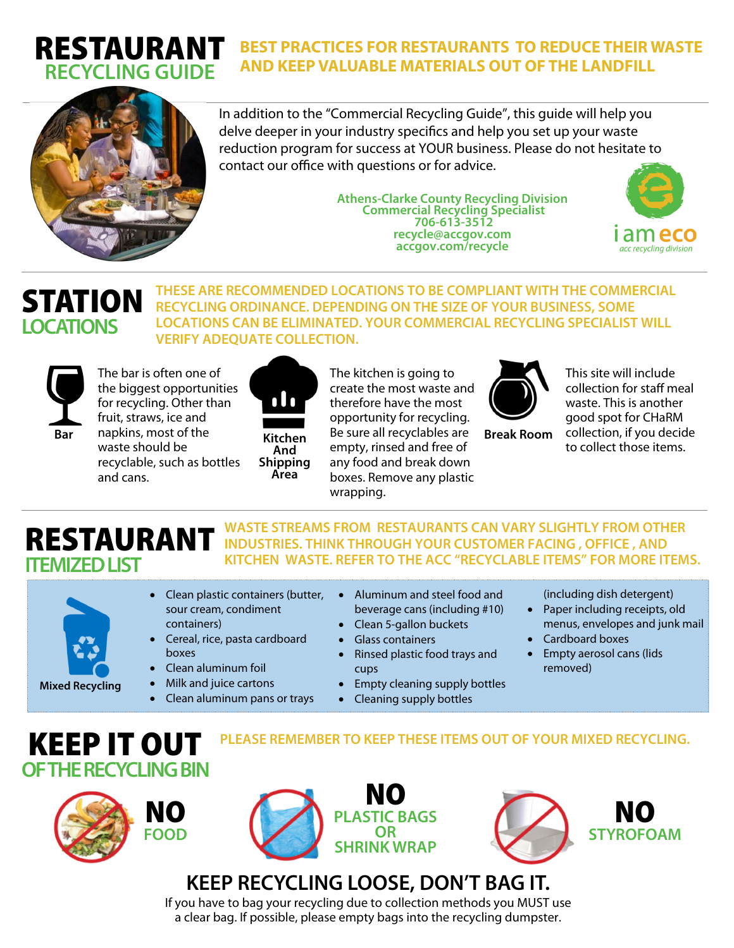### **BEST PRACTICES FOR RESTAURANTS TO REDUCE THEIR WASTE AND KEEP VALUABLE MATERIALS OUT OF THE LANDFILL**



RESTAURANT **RECYCLING GUIDE** 

> In addition to the "Commercial Recycling Guide", this guide will help you delve deeper in your industry specifics and help you set up your waste reduction program for success at YOUR business. Please do not hesitate to contact our office with questions or for advice.

> > **Athens-Clarke County Recycling Division Commercial Recycling Specialist 706-613-3512 recycle@accgov.com accgov.com/recycle**



## STATION **LOCATIONS**

**THESE ARE RECOMMENDED LOCATIONS TO BE COMPLIANT WITH THE COMMERCIAL RECYCLING ORDINANCE. DEPENDING ON THE SIZE OF YOUR BUSINESS, SOME LOCATIONS CAN BE ELIMINATED. YOUR COMMERCIAL RECYCLING SPECIALIST WILL VERIFY ADEQUATE COLLECTION.** 



The bar is often one of the biggest opportunities for recycling. Other than fruit, straws, ice and napkins, most of the waste should be recyclable, such as bottles and cans.



The kitchen is going to create the most waste and therefore have the most opportunity for recycling. Be sure all recyclables are empty, rinsed and free of any food and break down boxes. Remove any plastic wrapping.



**Break Room**

This site will include collection for staff meal waste. This is another good spot for CHaRM collection, if you decide to collect those items.

# RESTAURANT **ITEMIZED LIST**

**WASTE STREAMS FROM RESTAURANTS CAN VARY SLIGHTLY FROM OTHER INDUSTRIES. THINK THROUGH YOUR CUSTOMER FACING , OFFICE , AND KITCHEN WASTE. REFER TO THE ACC "RECYCLABLE ITEMS" FOR MORE ITEMS.**

**PLEASE REMEMBER TO KEEP THESE ITEMS OUT OF YOUR MIXED RECYCLING.**

- Clean plastic containers (butter, sour cream, condiment containers)
	- Cereal, rice, pasta cardboard boxes
- Clean aluminum foil
- Milk and juice cartons
- Clean aluminum pans or trays
- Aluminum and steel food and beverage cans (including #10)
	- Clean 5-gallon buckets
- Glass containers
	- Rinsed plastic food trays and cups
- Empty cleaning supply bottles
- Cleaning supply bottles
- (including dish detergent)
- Paper including receipts, old menus, envelopes and junk mail
- Cardboard boxes
- Empty aerosol cans (lids removed)



KEEP IT OUT

**Mixed Recycling** 





**KEEP RECYCLING LOOSE, DON'T BAG IT.** 

If you have to bag your recycling due to collection methods you MUST use a clear bag. If possible, please empty bags into the recycling dumpster.